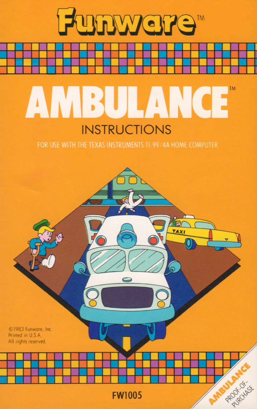

Funwere"